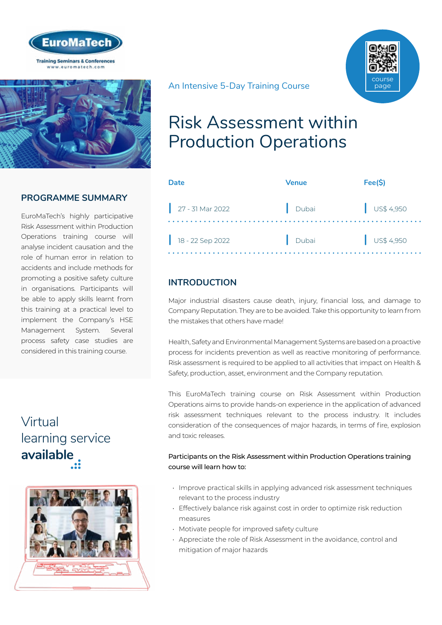



### **PROGRAMME SUMMARY**

EuroMaTech's highly participative Risk Assessment within Production Operations training course will analyse incident causation and the role of human error in relation to accidents and include methods for promoting a positive safety culture in organisations. Participants will be able to apply skills learnt from this training at a practical level to implement the Company's HSE Management System. Several process safety case studies are considered in this training course.

## Virtual [learning service](https://www.euromatech.com/seminars/risk-assessment-within-production-operations-1/)  **available**



An Intensive 5-Day Training Course

## Risk Assessment within Production Operations

| Date               | <b>Venue</b> | Fee(S)               |
|--------------------|--------------|----------------------|
| $27 - 31$ Mar 2022 | Dubai        | $\bigcup$ US\$ 4,950 |
| $18 - 22$ Sep 2022 | Dubai        | $\bigcup$ US\$ 4,950 |

course page

## **INTRODUCTION**

Major industrial disasters cause death, injury, financial loss, and damage to Company Reputation. They are to be avoided. Take this opportunity to learn from the mistakes that others have made!

Health, Safety and Environmental Management Systems are based on a proactive process for incidents prevention as well as reactive monitoring of performance. Risk assessment is required to be applied to all activities that impact on Health & Safety, production, asset, environment and the Company reputation.

This EuroMaTech training course on Risk Assessment within Production Operations aims to provide hands-on experience in the application of advanced risk assessment techniques relevant to the process industry. It includes consideration of the consequences of major hazards, in terms of fire, explosion and toxic releases.

#### Participants on the Risk Assessment within Production Operations training course will learn how to:

- Improve practical skills in applying advanced risk assessment techniques relevant to the process industry
- Effectively balance risk against cost in order to optimize risk reduction measures
- Motivate people for improved safety culture
- Appreciate the role of Risk Assessment in the avoidance, control and mitigation of major hazards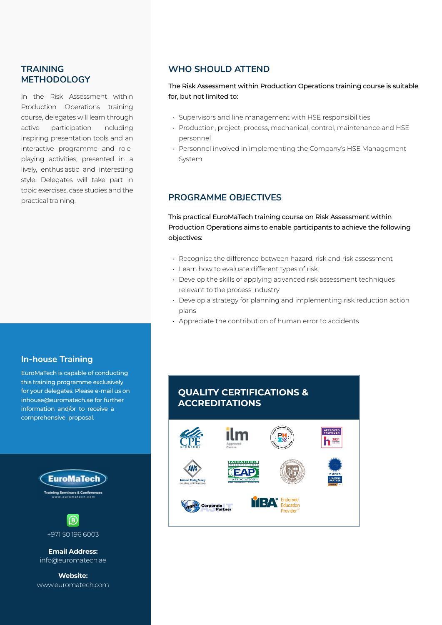#### **TRAINING METHODOLOGY**

In the Risk Assessment within Production Operations training course, delegates will learn through active participation including inspiring presentation tools and an interactive programme and roleplaying activities, presented in a lively, enthusiastic and interesting style. Delegates will take part in topic exercises, case studies and the practical training.

#### **In-house Training**

EuroMaTech is capable of conducting this training programme exclusively for your delegates. Please e-mail us on inhouse@euromatech.ae for further information and/or to receive a comprehensive proposal.





**Email Address:** info@euromatech.ae

**Website:** www.euromatech.com

#### **WHO SHOULD ATTEND**

The Risk Assessment within Production Operations training course is suitable for, but not limited to:

- Supervisors and line management with HSE responsibilities
- Production, project, process, mechanical, control, maintenance and HSE personnel
- Personnel involved in implementing the Company's HSE Management System

### **PROGRAMME OBJECTIVES**

This practical EuroMaTech training course on Risk Assessment within Production Operations aims to enable participants to achieve the following objectives:

- Recognise the difference between hazard, risk and risk assessment
- Learn how to evaluate different types of risk
- Develop the skills of applying advanced risk assessment techniques relevant to the process industry
- Develop a strategy for planning and implementing risk reduction action plans
- Appreciate the contribution of human error to accidents

## **QUALITY CERTIFICATIONS & ACCREDITATIONS**

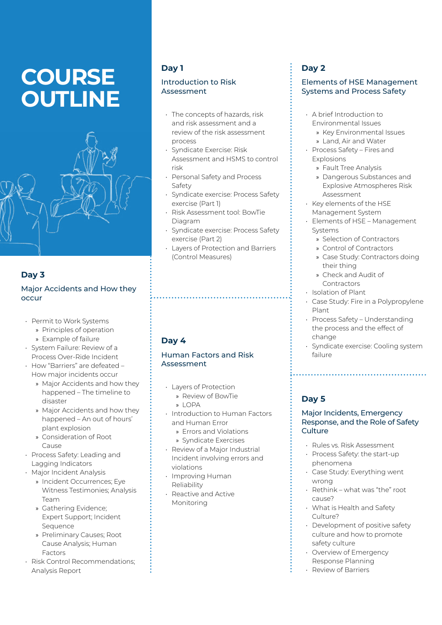# **COURSE OUTLINE**



## **Day 3**

#### Major Accidents and How they occur

- Permit to Work Systems
	- » Principles of operation
	- » Example of failure
- System Failure: Review of a Process Over-Ride Incident
- How "Barriers" are defeated How major incidents occur
	- » Major Accidents and how they happened – The timeline to disaster
	- » Major Accidents and how they happened – An out of hours' plant explosion
	- » Consideration of Root Cause
- Process Safety: Leading and Lagging Indicators
- Major Incident Analysis
	- » Incident Occurrences; Eye Witness Testimonies; Analysis Team
	- » Gathering Evidence; Expert Support; Incident **Sequence**
	- » Preliminary Causes; Root Cause Analysis; Human Factors
- Risk Control Recommendations; Analysis Report

### **Day 1**

#### Introduction to Risk Assessment

- The concepts of hazards, risk and risk assessment and a review of the risk assessment process
- Syndicate Exercise: Risk Assessment and HSMS to control risk
- Personal Safety and Process Safety
- Syndicate exercise: Process Safety exercise (Part 1)
- Risk Assessment tool: BowTie Diagram
- Syndicate exercise: Process Safety exercise (Part 2)
- Layers of Protection and Barriers (Control Measures)

## **Day 4**

#### Human Factors and Risk Assessment

- Layers of Protection
	- » Review of BowTie » LOPA
	-
- Introduction to Human Factors and Human Error
	- » Errors and Violations
	- » Syndicate Exercises
- Review of a Major Industrial Incident involving errors and violations
- Improving Human Reliability
- Reactive and Active Monitoring

## **Day 2**

#### Elements of HSE Management Systems and Process Safety

- A brief Introduction to Environmental Issues
	- » Key Environmental Issues
	- » Land, Air and Water
- Process Safety Fires and Explosions
	- » Fault Tree Analysis
	- » Dangerous Substances and Explosive Atmospheres Risk Assessment
- Key elements of the HSE Management System
- Elements of HSE Management Systems
	- » Selection of Contractors
	- » Control of Contractors
	- » Case Study: Contractors doing their thing
	- » Check and Audit of Contractors
- Isolation of Plant
- Case Study: Fire in a Polypropylene Plant
- Process Safety Understanding the process and the effect of change
- Syndicate exercise: Cooling system failure

## **Day 5**

#### Major Incidents, Emergency Response, and the Role of Safety **Culture**

- Rules vs. Risk Assessment
- Process Safety: the start-up phenomena
- Case Study: Everything went wrong
- Rethink what was "the" root cause?
- What is Health and Safety Culture?
- Development of positive safety culture and how to promote safety culture
- Overview of Emergency Response Planning
- Review of Barriers